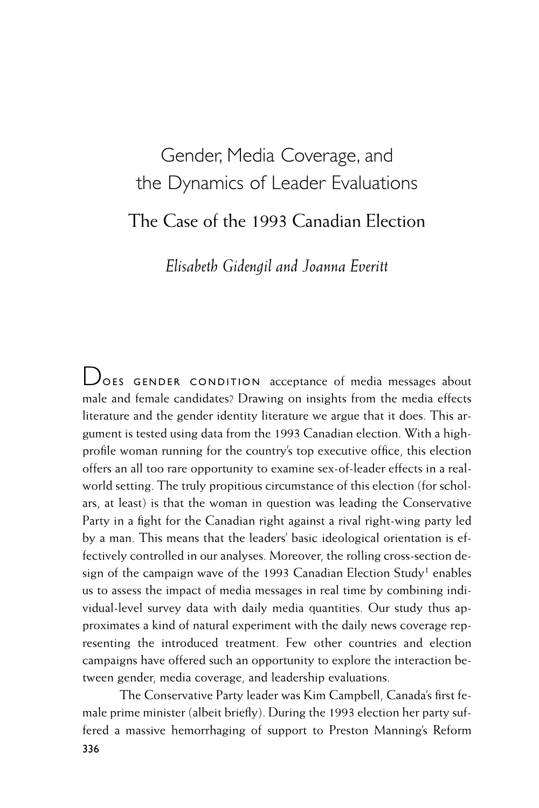# Gender, Media Coverage, and the Dynamics of Leader Evaluations The Case of the 1993 Canadian Election

*Elisabeth Gidengil and Joanna Everitt*

DOES GENDER CONDITION acceptance of media messages about male and female candidates? Drawing on insights from the media effects literature and the gender identity literature we argue that it does. This argument is tested using data from the 1993 Canadian election. With a highprofile woman running for the country's top executive office, this election offers an all too rare opportunity to examine sex-of-leader effects in a realworld setting. The truly propitious circumstance of this election (for scholars, at least) is that the woman in question was leading the Conservative Party in a fight for the Canadian right against a rival right-wing party led by a man. This means that the leaders' basic ideological orientation is effectively controlled in our analyses. Moreover, the rolling cross-section design of the campaign wave of the 1993 Canadian Election Study<sup>1</sup> enables us to assess the impact of media messages in real time by combining individual-level survey data with daily media quantities. Our study thus approximates a kind of natural experiment with the daily news coverage representing the introduced treatment. Few other countries and election campaigns have offered such an opportunity to explore the interaction between gender, media coverage, and leadership evaluations.

The Conservative Party leader was Kim Campbell, Canada's first female prime minister (albeit briefly). During the 1993 election her party suffered a massive hemorrhaging of support to Preston Manning's Reform 336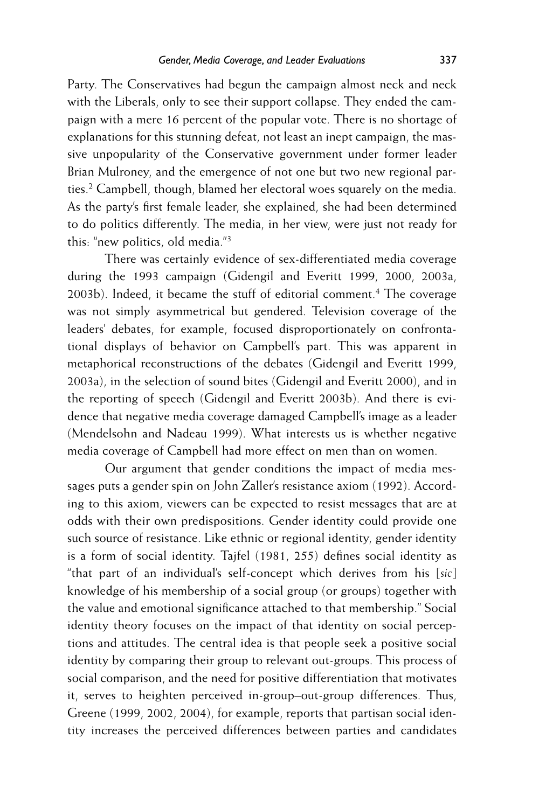Party. The Conservatives had begun the campaign almost neck and neck with the Liberals, only to see their support collapse. They ended the campaign with a mere 16 percent of the popular vote. There is no shortage of explanations for this stunning defeat, not least an inept campaign, the massive unpopularity of the Conservative government under former leader Brian Mulroney, and the emergence of not one but two new regional parties.2 Campbell, though, blamed her electoral woes squarely on the media. As the party's first female leader, she explained, she had been determined to do politics differently. The media, in her view, were just not ready for this: "new politics, old media."3

There was certainly evidence of sex-differentiated media coverage during the 1993 campaign (Gidengil and Everitt 1999, 2000, 2003a, 2003b). Indeed, it became the stuff of editorial comment.<sup>4</sup> The coverage was not simply asymmetrical but gendered. Television coverage of the leaders' debates, for example, focused disproportionately on confrontational displays of behavior on Campbell's part. This was apparent in metaphorical reconstructions of the debates (Gidengil and Everitt 1999, 2003a), in the selection of sound bites (Gidengil and Everitt 2000), and in the reporting of speech (Gidengil and Everitt 2003b). And there is evidence that negative media coverage damaged Campbell's image as a leader (Mendelsohn and Nadeau 1999). What interests us is whether negative media coverage of Campbell had more effect on men than on women.

Our argument that gender conditions the impact of media messages puts a gender spin on John Zaller's resistance axiom (1992). According to this axiom, viewers can be expected to resist messages that are at odds with their own predispositions. Gender identity could provide one such source of resistance. Like ethnic or regional identity, gender identity is a form of social identity. Tajfel (1981, 255) defines social identity as "that part of an individual's self-concept which derives from his [*sic*] knowledge of his membership of a social group (or groups) together with the value and emotional significance attached to that membership." Social identity theory focuses on the impact of that identity on social perceptions and attitudes. The central idea is that people seek a positive social identity by comparing their group to relevant out-groups. This process of social comparison, and the need for positive differentiation that motivates it, serves to heighten perceived in-group–out-group differences. Thus, Greene (1999, 2002, 2004), for example, reports that partisan social identity increases the perceived differences between parties and candidates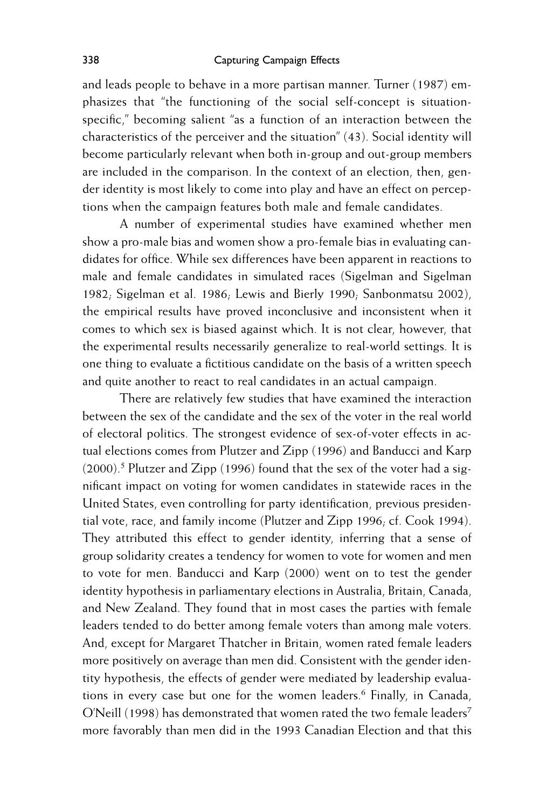and leads people to behave in a more partisan manner. Turner (1987) emphasizes that "the functioning of the social self-concept is situationspecific," becoming salient "as a function of an interaction between the characteristics of the perceiver and the situation" (43). Social identity will become particularly relevant when both in-group and out-group members are included in the comparison. In the context of an election, then, gender identity is most likely to come into play and have an effect on perceptions when the campaign features both male and female candidates.

A number of experimental studies have examined whether men show a pro-male bias and women show a pro-female bias in evaluating candidates for office. While sex differences have been apparent in reactions to male and female candidates in simulated races (Sigelman and Sigelman 1982; Sigelman et al. 1986; Lewis and Bierly 1990; Sanbonmatsu 2002), the empirical results have proved inconclusive and inconsistent when it comes to which sex is biased against which. It is not clear, however, that the experimental results necessarily generalize to real-world settings. It is one thing to evaluate a fictitious candidate on the basis of a written speech and quite another to react to real candidates in an actual campaign.

There are relatively few studies that have examined the interaction between the sex of the candidate and the sex of the voter in the real world of electoral politics. The strongest evidence of sex-of-voter effects in actual elections comes from Plutzer and Zipp (1996) and Banducci and Karp  $(2000)$ .<sup>5</sup> Plutzer and Zipp (1996) found that the sex of the voter had a significant impact on voting for women candidates in statewide races in the United States, even controlling for party identification, previous presidential vote, race, and family income (Plutzer and Zipp 1996; cf. Cook 1994). They attributed this effect to gender identity, inferring that a sense of group solidarity creates a tendency for women to vote for women and men to vote for men. Banducci and Karp (2000) went on to test the gender identity hypothesis in parliamentary elections in Australia, Britain, Canada, and New Zealand. They found that in most cases the parties with female leaders tended to do better among female voters than among male voters. And, except for Margaret Thatcher in Britain, women rated female leaders more positively on average than men did. Consistent with the gender identity hypothesis, the effects of gender were mediated by leadership evaluations in every case but one for the women leaders.6 Finally, in Canada, O'Neill (1998) has demonstrated that women rated the two female leaders<sup>7</sup> more favorably than men did in the 1993 Canadian Election and that this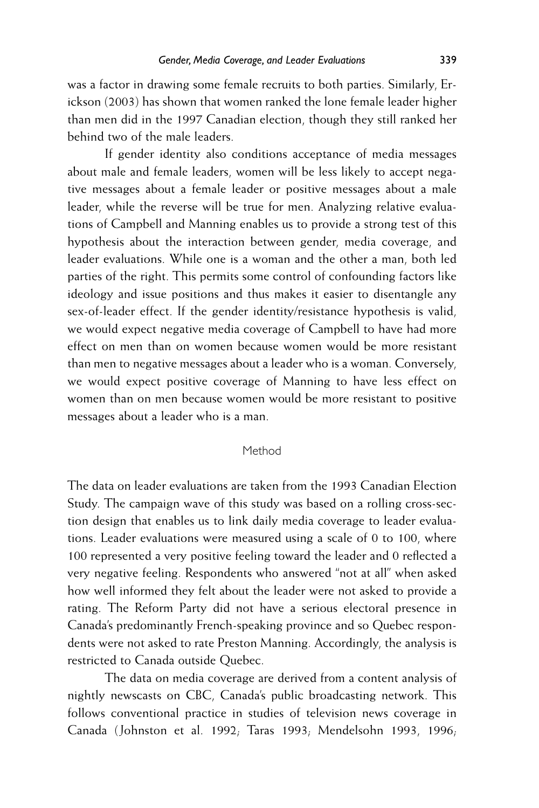was a factor in drawing some female recruits to both parties. Similarly, Erickson (2003) has shown that women ranked the lone female leader higher than men did in the 1997 Canadian election, though they still ranked her behind two of the male leaders.

If gender identity also conditions acceptance of media messages about male and female leaders, women will be less likely to accept negative messages about a female leader or positive messages about a male leader, while the reverse will be true for men. Analyzing relative evaluations of Campbell and Manning enables us to provide a strong test of this hypothesis about the interaction between gender, media coverage, and leader evaluations. While one is a woman and the other a man, both led parties of the right. This permits some control of confounding factors like ideology and issue positions and thus makes it easier to disentangle any sex-of-leader effect. If the gender identity/resistance hypothesis is valid, we would expect negative media coverage of Campbell to have had more effect on men than on women because women would be more resistant than men to negative messages about a leader who is a woman. Conversely, we would expect positive coverage of Manning to have less effect on women than on men because women would be more resistant to positive messages about a leader who is a man.

## Method

The data on leader evaluations are taken from the 1993 Canadian Election Study. The campaign wave of this study was based on a rolling cross-section design that enables us to link daily media coverage to leader evaluations. Leader evaluations were measured using a scale of 0 to 100, where 100 represented a very positive feeling toward the leader and 0 reflected a very negative feeling. Respondents who answered "not at all" when asked how well informed they felt about the leader were not asked to provide a rating. The Reform Party did not have a serious electoral presence in Canada's predominantly French-speaking province and so Quebec respondents were not asked to rate Preston Manning. Accordingly, the analysis is restricted to Canada outside Quebec.

The data on media coverage are derived from a content analysis of nightly newscasts on CBC, Canada's public broadcasting network. This follows conventional practice in studies of television news coverage in Canada (Johnston et al. 1992; Taras 1993; Mendelsohn 1993, 1996;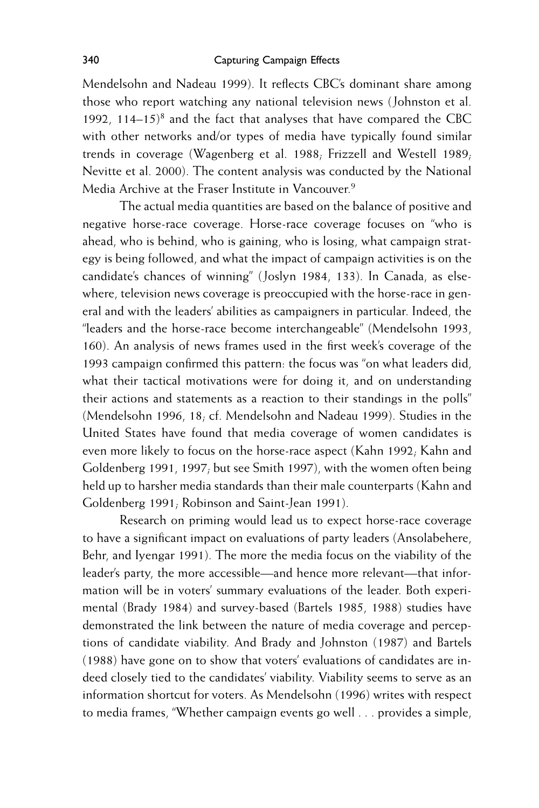Mendelsohn and Nadeau 1999). It reflects CBC's dominant share among those who report watching any national television news (Johnston et al. 1992, 114–15)<sup>8</sup> and the fact that analyses that have compared the CBC with other networks and/or types of media have typically found similar trends in coverage (Wagenberg et al. 1988; Frizzell and Westell 1989; Nevitte et al. 2000). The content analysis was conducted by the National Media Archive at the Fraser Institute in Vancouver.<sup>9</sup>

The actual media quantities are based on the balance of positive and negative horse-race coverage. Horse-race coverage focuses on "who is ahead, who is behind, who is gaining, who is losing, what campaign strategy is being followed, and what the impact of campaign activities is on the candidate's chances of winning" (Joslyn 1984, 133). In Canada, as elsewhere, television news coverage is preoccupied with the horse-race in general and with the leaders' abilities as campaigners in particular. Indeed, the "leaders and the horse-race become interchangeable" (Mendelsohn 1993, 160). An analysis of news frames used in the first week's coverage of the 1993 campaign confirmed this pattern: the focus was "on what leaders did, what their tactical motivations were for doing it, and on understanding their actions and statements as a reaction to their standings in the polls" (Mendelsohn 1996, 18; cf. Mendelsohn and Nadeau 1999). Studies in the United States have found that media coverage of women candidates is even more likely to focus on the horse-race aspect (Kahn 1992; Kahn and Goldenberg 1991, 1997; but see Smith 1997), with the women often being held up to harsher media standards than their male counterparts (Kahn and Goldenberg 1991; Robinson and Saint-Jean 1991).

Research on priming would lead us to expect horse-race coverage to have a significant impact on evaluations of party leaders (Ansolabehere, Behr, and Iyengar 1991). The more the media focus on the viability of the leader's party, the more accessible—and hence more relevant—that information will be in voters' summary evaluations of the leader. Both experimental (Brady 1984) and survey-based (Bartels 1985, 1988) studies have demonstrated the link between the nature of media coverage and perceptions of candidate viability. And Brady and Johnston (1987) and Bartels (1988) have gone on to show that voters' evaluations of candidates are indeed closely tied to the candidates' viability. Viability seems to serve as an information shortcut for voters. As Mendelsohn (1996) writes with respect to media frames, "Whether campaign events go well . . . provides a simple,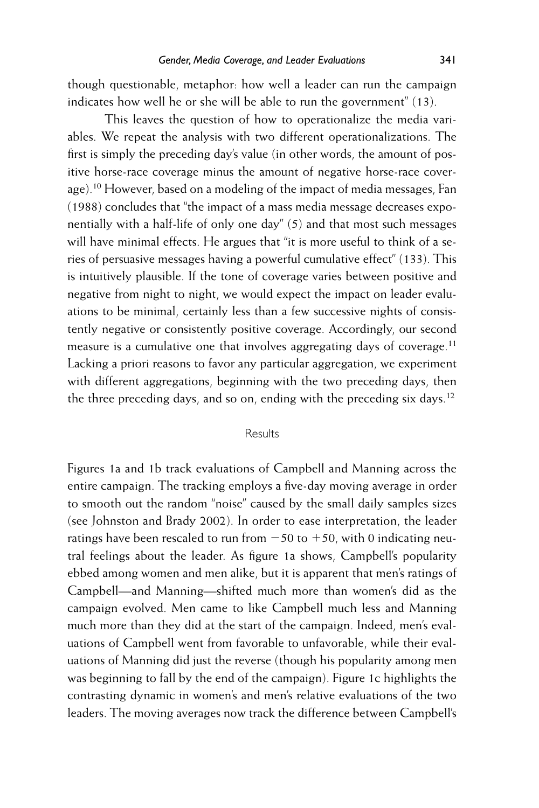though questionable, metaphor: how well a leader can run the campaign indicates how well he or she will be able to run the government" (13).

This leaves the question of how to operationalize the media variables. We repeat the analysis with two different operationalizations. The first is simply the preceding day's value (in other words, the amount of positive horse-race coverage minus the amount of negative horse-race coverage).<sup>10</sup> However, based on a modeling of the impact of media messages, Fan (1988) concludes that "the impact of a mass media message decreases exponentially with a half-life of only one day" (5) and that most such messages will have minimal effects. He argues that "it is more useful to think of a series of persuasive messages having a powerful cumulative effect" (133). This is intuitively plausible. If the tone of coverage varies between positive and negative from night to night, we would expect the impact on leader evaluations to be minimal, certainly less than a few successive nights of consistently negative or consistently positive coverage. Accordingly, our second measure is a cumulative one that involves aggregating days of coverage.<sup>11</sup> Lacking a priori reasons to favor any particular aggregation, we experiment with different aggregations, beginning with the two preceding days, then the three preceding days, and so on, ending with the preceding six days.<sup>12</sup>

### Results

Figures 1a and 1b track evaluations of Campbell and Manning across the entire campaign. The tracking employs a five-day moving average in order to smooth out the random "noise" caused by the small daily samples sizes (see Johnston and Brady 2002). In order to ease interpretation, the leader ratings have been rescaled to run from  $-50$  to  $+50$ , with 0 indicating neutral feelings about the leader. As figure 1a shows, Campbell's popularity ebbed among women and men alike, but it is apparent that men's ratings of Campbell—and Manning—shifted much more than women's did as the campaign evolved. Men came to like Campbell much less and Manning much more than they did at the start of the campaign. Indeed, men's evaluations of Campbell went from favorable to unfavorable, while their evaluations of Manning did just the reverse (though his popularity among men was beginning to fall by the end of the campaign). Figure 1c highlights the contrasting dynamic in women's and men's relative evaluations of the two leaders. The moving averages now track the difference between Campbell's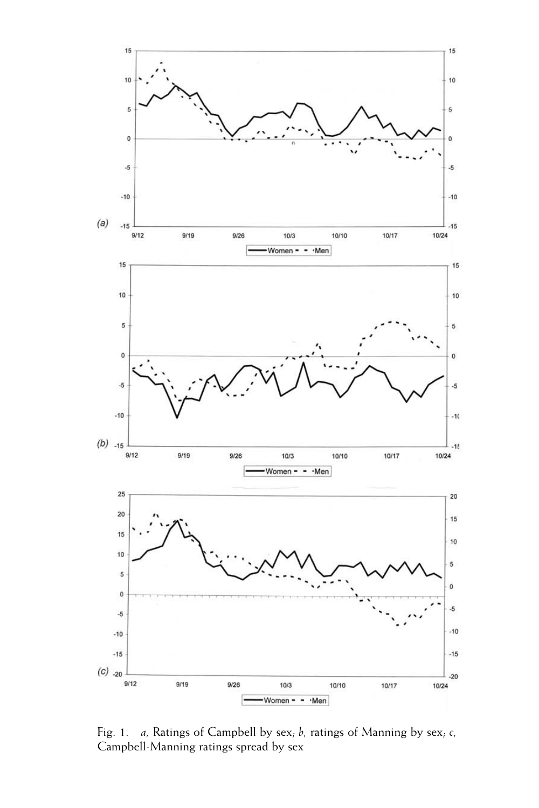

Fig. 1. *a,* Ratings of Campbell by sex; *b,* ratings of Manning by sex; *c,* Campbell-Manning ratings spread by sex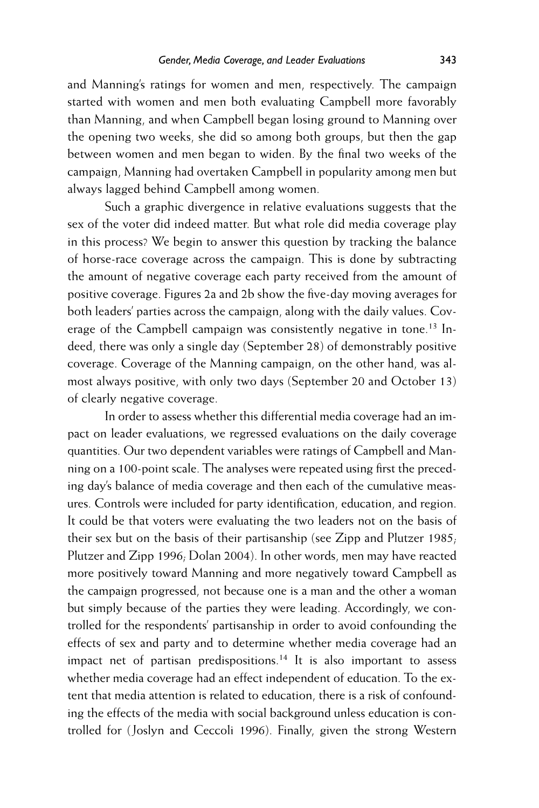and Manning's ratings for women and men, respectively. The campaign started with women and men both evaluating Campbell more favorably than Manning, and when Campbell began losing ground to Manning over the opening two weeks, she did so among both groups, but then the gap between women and men began to widen. By the final two weeks of the campaign, Manning had overtaken Campbell in popularity among men but always lagged behind Campbell among women.

Such a graphic divergence in relative evaluations suggests that the sex of the voter did indeed matter. But what role did media coverage play in this process? We begin to answer this question by tracking the balance of horse-race coverage across the campaign. This is done by subtracting the amount of negative coverage each party received from the amount of positive coverage. Figures 2a and 2b show the five-day moving averages for both leaders' parties across the campaign, along with the daily values. Coverage of the Campbell campaign was consistently negative in tone.<sup>13</sup> Indeed, there was only a single day (September 28) of demonstrably positive coverage. Coverage of the Manning campaign, on the other hand, was almost always positive, with only two days (September 20 and October 13) of clearly negative coverage.

In order to assess whether this differential media coverage had an impact on leader evaluations, we regressed evaluations on the daily coverage quantities. Our two dependent variables were ratings of Campbell and Manning on a 100-point scale. The analyses were repeated using first the preceding day's balance of media coverage and then each of the cumulative measures. Controls were included for party identification, education, and region. It could be that voters were evaluating the two leaders not on the basis of their sex but on the basis of their partisanship (see Zipp and Plutzer 1985; Plutzer and Zipp 1996; Dolan 2004). In other words, men may have reacted more positively toward Manning and more negatively toward Campbell as the campaign progressed, not because one is a man and the other a woman but simply because of the parties they were leading. Accordingly, we controlled for the respondents' partisanship in order to avoid confounding the effects of sex and party and to determine whether media coverage had an impact net of partisan predispositions.<sup>14</sup> It is also important to assess whether media coverage had an effect independent of education. To the extent that media attention is related to education, there is a risk of confounding the effects of the media with social background unless education is controlled for (Joslyn and Ceccoli 1996). Finally, given the strong Western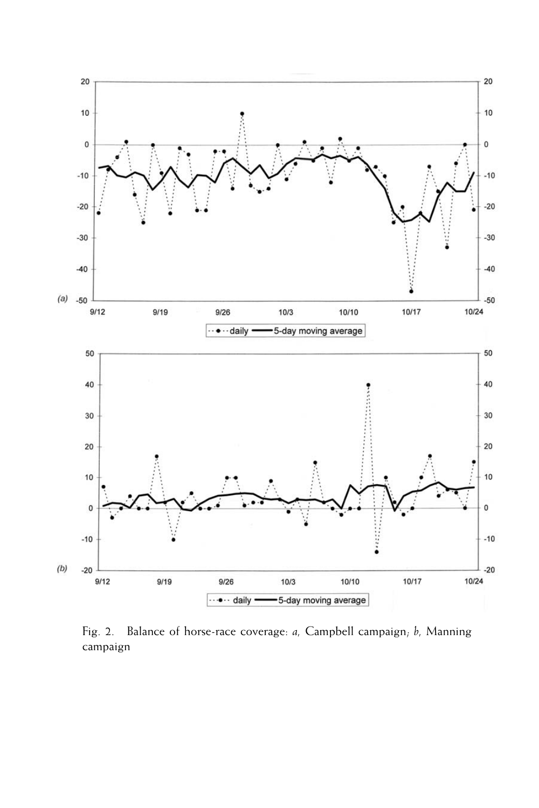

Fig. 2. Balance of horse-race coverage: *a,* Campbell campaign; *b,* Manning campaign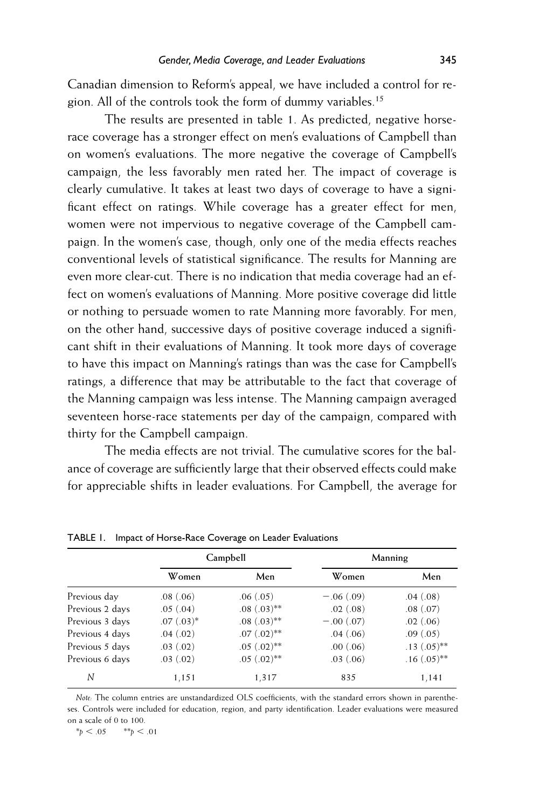Canadian dimension to Reform's appeal, we have included a control for region. All of the controls took the form of dummy variables.15

The results are presented in table 1. As predicted, negative horserace coverage has a stronger effect on men's evaluations of Campbell than on women's evaluations. The more negative the coverage of Campbell's campaign, the less favorably men rated her. The impact of coverage is clearly cumulative. It takes at least two days of coverage to have a significant effect on ratings. While coverage has a greater effect for men, women were not impervious to negative coverage of the Campbell campaign. In the women's case, though, only one of the media effects reaches conventional levels of statistical significance. The results for Manning are even more clear-cut. There is no indication that media coverage had an effect on women's evaluations of Manning. More positive coverage did little or nothing to persuade women to rate Manning more favorably. For men, on the other hand, successive days of positive coverage induced a significant shift in their evaluations of Manning. It took more days of coverage to have this impact on Manning's ratings than was the case for Campbell's ratings, a difference that may be attributable to the fact that coverage of the Manning campaign was less intense. The Manning campaign averaged seventeen horse-race statements per day of the campaign, compared with thirty for the Campbell campaign.

The media effects are not trivial. The cumulative scores for the balance of coverage are sufficiently large that their observed effects could make for appreciable shifts in leader evaluations. For Campbell, the average for

|                 | Campbell    |               | Manning     |               |
|-----------------|-------------|---------------|-------------|---------------|
|                 | Women       | Men           | Women       | Men           |
| Previous day    | .08(.06)    | .06(.05)      | $-.06(.09)$ | .04(.08)      |
| Previous 2 days | .05(.04)    | $.08(.03)$ ** | .02(.08)    | .08(.07)      |
| Previous 3 days | $.07(.03)*$ | $.08(.03)$ ** | $-.00(.07)$ | .02(.06)      |
| Previous 4 days | .04(.02)    | $.07(.02)$ ** | .04(.06)    | .09(.05)      |
| Previous 5 days | .03(.02)    | $.05(.02)$ ** | .00(.06)    | $.13(.05)$ ** |
| Previous 6 days | .03(.02)    | $.05(.02)$ ** | .03(.06)    | $.16(.05)$ ** |
| Ν               | 1,151       | 1,317         | 835         | 1,141         |

TABLE 1. Impact of Horse-Race Coverage on Leader Evaluations

*Note:* The column entries are unstandardized OLS coefficients, with the standard errors shown in parentheses. Controls were included for education, region, and party identification. Leader evaluations were measured on a scale of 0 to 100.

 $*_{p} < .05$  \*\**p* < .01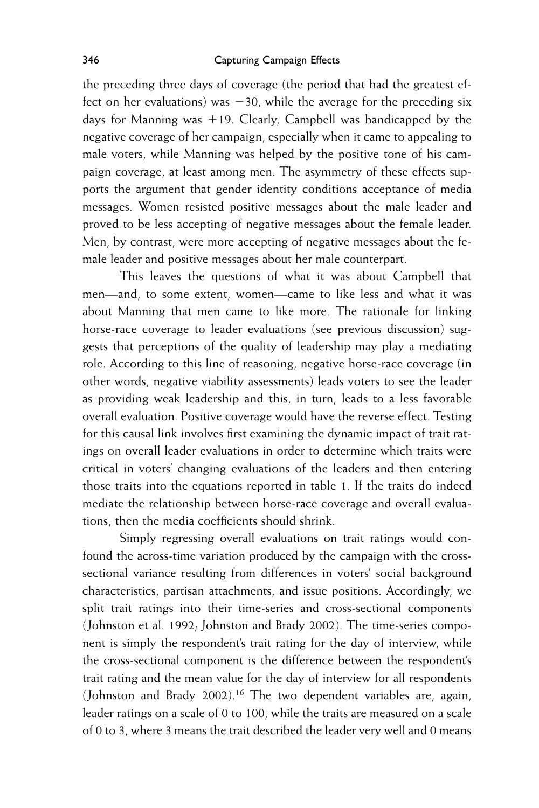the preceding three days of coverage (the period that had the greatest effect on her evaluations) was  $-30$ , while the average for the preceding six days for Manning was  $+19$ . Clearly, Campbell was handicapped by the negative coverage of her campaign, especially when it came to appealing to male voters, while Manning was helped by the positive tone of his campaign coverage, at least among men. The asymmetry of these effects supports the argument that gender identity conditions acceptance of media messages. Women resisted positive messages about the male leader and proved to be less accepting of negative messages about the female leader. Men, by contrast, were more accepting of negative messages about the female leader and positive messages about her male counterpart.

This leaves the questions of what it was about Campbell that men—and, to some extent, women—came to like less and what it was about Manning that men came to like more. The rationale for linking horse-race coverage to leader evaluations (see previous discussion) suggests that perceptions of the quality of leadership may play a mediating role. According to this line of reasoning, negative horse-race coverage (in other words, negative viability assessments) leads voters to see the leader as providing weak leadership and this, in turn, leads to a less favorable overall evaluation. Positive coverage would have the reverse effect. Testing for this causal link involves first examining the dynamic impact of trait ratings on overall leader evaluations in order to determine which traits were critical in voters' changing evaluations of the leaders and then entering those traits into the equations reported in table 1. If the traits do indeed mediate the relationship between horse-race coverage and overall evaluations, then the media coefficients should shrink.

Simply regressing overall evaluations on trait ratings would confound the across-time variation produced by the campaign with the crosssectional variance resulting from differences in voters' social background characteristics, partisan attachments, and issue positions. Accordingly, we split trait ratings into their time-series and cross-sectional components (Johnston et al. 1992; Johnston and Brady 2002). The time-series component is simply the respondent's trait rating for the day of interview, while the cross-sectional component is the difference between the respondent's trait rating and the mean value for the day of interview for all respondents (Johnston and Brady 2002).<sup>16</sup> The two dependent variables are, again, leader ratings on a scale of 0 to 100, while the traits are measured on a scale of 0 to 3, where 3 means the trait described the leader very well and 0 means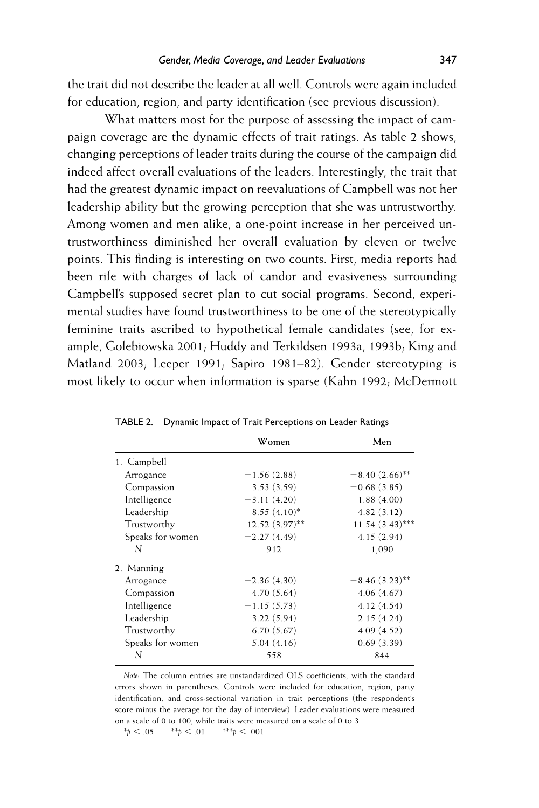the trait did not describe the leader at all well. Controls were again included for education, region, and party identification (see previous discussion).

What matters most for the purpose of assessing the impact of campaign coverage are the dynamic effects of trait ratings. As table 2 shows, changing perceptions of leader traits during the course of the campaign did indeed affect overall evaluations of the leaders. Interestingly, the trait that had the greatest dynamic impact on reevaluations of Campbell was not her leadership ability but the growing perception that she was untrustworthy. Among women and men alike, a one-point increase in her perceived untrustworthiness diminished her overall evaluation by eleven or twelve points. This finding is interesting on two counts. First, media reports had been rife with charges of lack of candor and evasiveness surrounding Campbell's supposed secret plan to cut social programs. Second, experimental studies have found trustworthiness to be one of the stereotypically feminine traits ascribed to hypothetical female candidates (see, for example, Golebiowska 2001; Huddy and Terkildsen 1993a, 1993b; King and Matland 2003; Leeper 1991; Sapiro 1981–82). Gender stereotyping is most likely to occur when information is sparse (Kahn 1992; McDermott

|                  | Women          | Men               |
|------------------|----------------|-------------------|
| 1. Campbell      |                |                   |
| Arrogance        | $-1.56(2.88)$  | $-8.40(2.66)$ **  |
| Compassion       | 3.53(3.59)     | $-0.68(3.85)$     |
| Intelligence     | $-3.11(4.20)$  | 1.88(4.00)        |
| Leadership       | $8.55(4.10)^*$ | 4.82(3.12)        |
| Trustworthy      | 12.52 (3.97)** | $11.54(3.43)$ *** |
| Speaks for women | $-2.27(4.49)$  | 4.15(2.94)        |
| N                | 912            | 1,090             |
| 2. Manning       |                |                   |
| Arrogance        | $-2.36(4.30)$  | $-8.46(3.23)$ **  |
| Compassion       | 4.70(5.64)     | 4.06(4.67)        |
| Intelligence     | $-1.15(5.73)$  | 4.12(4.54)        |
| Leadership       | 3.22(5.94)     | 2.15(4.24)        |
| Trustworthy      | 6.70(5.67)     | 4.09(4.52)        |
| Speaks for women | 5.04(4.16)     | 0.69(3.39)        |
| N                | 558            | 844               |
|                  |                |                   |

TABLE 2. Dynamic Impact of Trait Perceptions on Leader Ratings

*Note:* The column entries are unstandardized OLS coefficients, with the standard errors shown in parentheses. Controls were included for education, region, party identification, and cross-sectional variation in trait perceptions (the respondent's score minus the average for the day of interview). Leader evaluations were measured on a scale of 0 to 100, while traits were measured on a scale of 0 to 3.

 $*_{p}$  < .05  $*_{p}$  < .01  $*_{p}$  < .001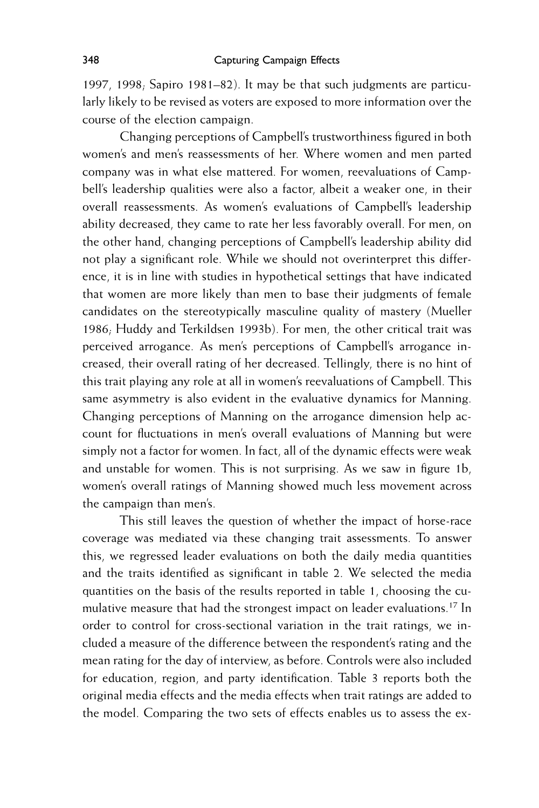1997, 1998; Sapiro 1981–82). It may be that such judgments are particularly likely to be revised as voters are exposed to more information over the course of the election campaign.

Changing perceptions of Campbell's trustworthiness figured in both women's and men's reassessments of her. Where women and men parted company was in what else mattered. For women, reevaluations of Campbell's leadership qualities were also a factor, albeit a weaker one, in their overall reassessments. As women's evaluations of Campbell's leadership ability decreased, they came to rate her less favorably overall. For men, on the other hand, changing perceptions of Campbell's leadership ability did not play a significant role. While we should not overinterpret this difference, it is in line with studies in hypothetical settings that have indicated that women are more likely than men to base their judgments of female candidates on the stereotypically masculine quality of mastery (Mueller 1986; Huddy and Terkildsen 1993b). For men, the other critical trait was perceived arrogance. As men's perceptions of Campbell's arrogance increased, their overall rating of her decreased. Tellingly, there is no hint of this trait playing any role at all in women's reevaluations of Campbell. This same asymmetry is also evident in the evaluative dynamics for Manning. Changing perceptions of Manning on the arrogance dimension help account for fluctuations in men's overall evaluations of Manning but were simply not a factor for women. In fact, all of the dynamic effects were weak and unstable for women. This is not surprising. As we saw in figure 1b, women's overall ratings of Manning showed much less movement across the campaign than men's.

This still leaves the question of whether the impact of horse-race coverage was mediated via these changing trait assessments. To answer this, we regressed leader evaluations on both the daily media quantities and the traits identified as significant in table 2. We selected the media quantities on the basis of the results reported in table 1, choosing the cumulative measure that had the strongest impact on leader evaluations.<sup>17</sup> In order to control for cross-sectional variation in the trait ratings, we included a measure of the difference between the respondent's rating and the mean rating for the day of interview, as before. Controls were also included for education, region, and party identification. Table 3 reports both the original media effects and the media effects when trait ratings are added to the model. Comparing the two sets of effects enables us to assess the ex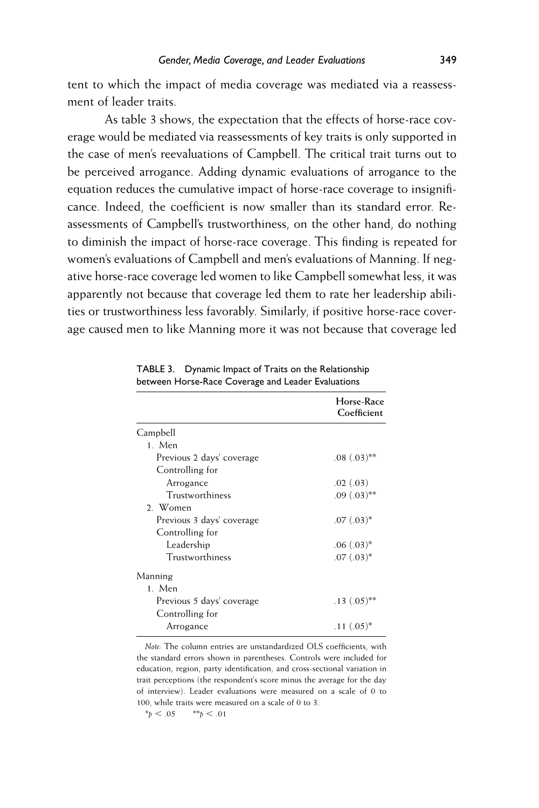tent to which the impact of media coverage was mediated via a reassessment of leader traits.

As table 3 shows, the expectation that the effects of horse-race coverage would be mediated via reassessments of key traits is only supported in the case of men's reevaluations of Campbell. The critical trait turns out to be perceived arrogance. Adding dynamic evaluations of arrogance to the equation reduces the cumulative impact of horse-race coverage to insignificance. Indeed, the coefficient is now smaller than its standard error. Reassessments of Campbell's trustworthiness, on the other hand, do nothing to diminish the impact of horse-race coverage. This finding is repeated for women's evaluations of Campbell and men's evaluations of Manning. If negative horse-race coverage led women to like Campbell somewhat less, it was apparently not because that coverage led them to rate her leadership abilities or trustworthiness less favorably. Similarly, if positive horse-race coverage caused men to like Manning more it was not because that coverage led

|                           | Horse-Race<br>Coefficient |
|---------------------------|---------------------------|
| Campbell                  |                           |
| 1. Men                    |                           |
| Previous 2 days' coverage | $.08(.03)$ **             |
| Controlling for           |                           |
| Arrogance                 | .02(.03)                  |
| Trustworthiness           | $.09(.03)$ **             |
| 2. Women                  |                           |
| Previous 3 days' coverage | $.07(.03)*$               |
| Controlling for           |                           |
| Leadership                | $.06(.03)*$               |
| Trustworthiness           | $.07(.03)*$               |
| Manning                   |                           |
| 1. Men                    |                           |
| Previous 5 days' coverage | $.13(.05)$ **             |
| Controlling for           |                           |
| Arrogance                 | $.11(.05)^*$              |

TABLE 3. Dynamic Impact of Traits on the Relationship between Horse-Race Coverage and Leader Evaluations

*Note:* The column entries are unstandardized OLS coefficients, with the standard errors shown in parentheses. Controls were included for education, region, party identification, and cross-sectional variation in trait perceptions (the respondent's score minus the average for the day of interview). Leader evaluations were measured on a scale of 0 to 100, while traits were measured on a scale of 0 to 3.

 $*_{b} < 0.05$   $*_{b} < 0.01$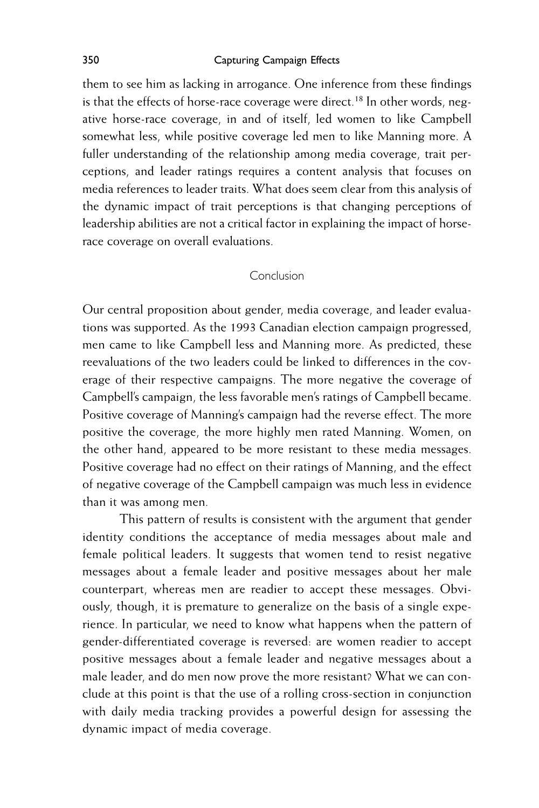them to see him as lacking in arrogance. One inference from these findings is that the effects of horse-race coverage were direct.<sup>18</sup> In other words, negative horse-race coverage, in and of itself, led women to like Campbell somewhat less, while positive coverage led men to like Manning more. A fuller understanding of the relationship among media coverage, trait perceptions, and leader ratings requires a content analysis that focuses on media references to leader traits. What does seem clear from this analysis of the dynamic impact of trait perceptions is that changing perceptions of leadership abilities are not a critical factor in explaining the impact of horserace coverage on overall evaluations.

## Conclusion

Our central proposition about gender, media coverage, and leader evaluations was supported. As the 1993 Canadian election campaign progressed, men came to like Campbell less and Manning more. As predicted, these reevaluations of the two leaders could be linked to differences in the coverage of their respective campaigns. The more negative the coverage of Campbell's campaign, the less favorable men's ratings of Campbell became. Positive coverage of Manning's campaign had the reverse effect. The more positive the coverage, the more highly men rated Manning. Women, on the other hand, appeared to be more resistant to these media messages. Positive coverage had no effect on their ratings of Manning, and the effect of negative coverage of the Campbell campaign was much less in evidence than it was among men.

This pattern of results is consistent with the argument that gender identity conditions the acceptance of media messages about male and female political leaders. It suggests that women tend to resist negative messages about a female leader and positive messages about her male counterpart, whereas men are readier to accept these messages. Obviously, though, it is premature to generalize on the basis of a single experience. In particular, we need to know what happens when the pattern of gender-differentiated coverage is reversed: are women readier to accept positive messages about a female leader and negative messages about a male leader, and do men now prove the more resistant? What we can conclude at this point is that the use of a rolling cross-section in conjunction with daily media tracking provides a powerful design for assessing the dynamic impact of media coverage.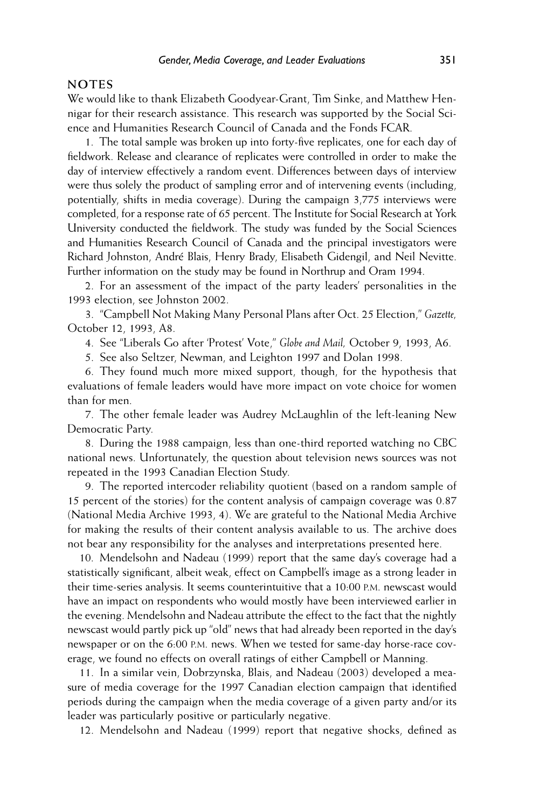## **NOTES**

We would like to thank Elizabeth Goodyear-Grant, Tim Sinke, and Matthew Hennigar for their research assistance. This research was supported by the Social Science and Humanities Research Council of Canada and the Fonds FCAR.

1. The total sample was broken up into forty-five replicates, one for each day of fieldwork. Release and clearance of replicates were controlled in order to make the day of interview effectively a random event. Differences between days of interview were thus solely the product of sampling error and of intervening events (including, potentially, shifts in media coverage). During the campaign 3,775 interviews were completed, for a response rate of 65 percent. The Institute for Social Research at York University conducted the fieldwork. The study was funded by the Social Sciences and Humanities Research Council of Canada and the principal investigators were Richard Johnston, André Blais, Henry Brady, Elisabeth Gidengil, and Neil Nevitte. Further information on the study may be found in Northrup and Oram 1994.

2. For an assessment of the impact of the party leaders' personalities in the 1993 election, see Johnston 2002.

3. "Campbell Not Making Many Personal Plans after Oct. 25 Election," *Gazette,* October 12, 1993, A8.

4. See "Liberals Go after 'Protest' Vote," *Globe and Mail,* October 9, 1993, A6.

5. See also Seltzer, Newman, and Leighton 1997 and Dolan 1998.

6. They found much more mixed support, though, for the hypothesis that evaluations of female leaders would have more impact on vote choice for women than for men.

7. The other female leader was Audrey McLaughlin of the left-leaning New Democratic Party.

8. During the 1988 campaign, less than one-third reported watching no CBC national news. Unfortunately, the question about television news sources was not repeated in the 1993 Canadian Election Study.

9. The reported intercoder reliability quotient (based on a random sample of 15 percent of the stories) for the content analysis of campaign coverage was 0.87 (National Media Archive 1993, 4). We are grateful to the National Media Archive for making the results of their content analysis available to us. The archive does not bear any responsibility for the analyses and interpretations presented here.

10. Mendelsohn and Nadeau (1999) report that the same day's coverage had a statistically significant, albeit weak, effect on Campbell's image as a strong leader in their time-series analysis. It seems counterintuitive that a 10:00 P.M. newscast would have an impact on respondents who would mostly have been interviewed earlier in the evening. Mendelsohn and Nadeau attribute the effect to the fact that the nightly newscast would partly pick up "old" news that had already been reported in the day's newspaper or on the 6:00 P.M. news. When we tested for same-day horse-race coverage, we found no effects on overall ratings of either Campbell or Manning.

11. In a similar vein, Dobrzynska, Blais, and Nadeau (2003) developed a measure of media coverage for the 1997 Canadian election campaign that identified periods during the campaign when the media coverage of a given party and/or its leader was particularly positive or particularly negative.

12. Mendelsohn and Nadeau (1999) report that negative shocks, defined as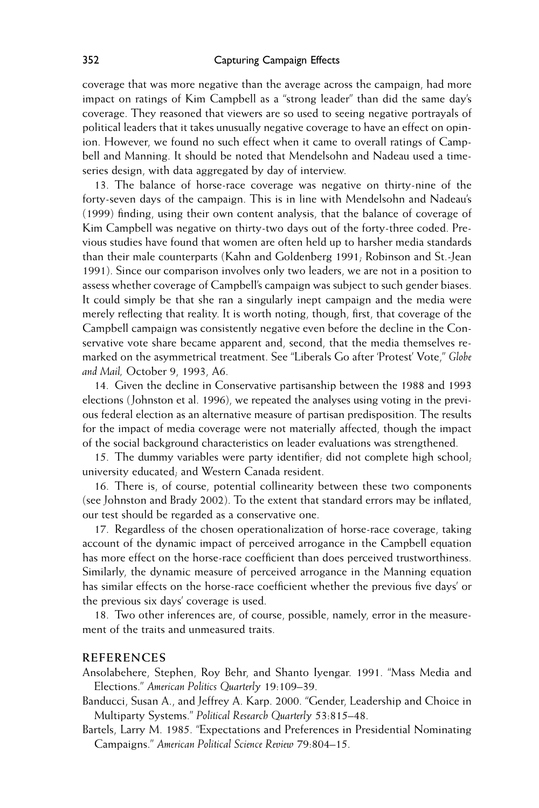coverage that was more negative than the average across the campaign, had more impact on ratings of Kim Campbell as a "strong leader" than did the same day's coverage. They reasoned that viewers are so used to seeing negative portrayals of political leaders that it takes unusually negative coverage to have an effect on opinion. However, we found no such effect when it came to overall ratings of Campbell and Manning. It should be noted that Mendelsohn and Nadeau used a timeseries design, with data aggregated by day of interview.

13. The balance of horse-race coverage was negative on thirty-nine of the forty-seven days of the campaign. This is in line with Mendelsohn and Nadeau's (1999) finding, using their own content analysis, that the balance of coverage of Kim Campbell was negative on thirty-two days out of the forty-three coded. Previous studies have found that women are often held up to harsher media standards than their male counterparts (Kahn and Goldenberg 1991; Robinson and St.-Jean 1991). Since our comparison involves only two leaders, we are not in a position to assess whether coverage of Campbell's campaign was subject to such gender biases. It could simply be that she ran a singularly inept campaign and the media were merely reflecting that reality. It is worth noting, though, first, that coverage of the Campbell campaign was consistently negative even before the decline in the Conservative vote share became apparent and, second, that the media themselves remarked on the asymmetrical treatment. See "Liberals Go after 'Protest' Vote," *Globe and Mail,* October 9, 1993, A6.

14. Given the decline in Conservative partisanship between the 1988 and 1993 elections (Johnston et al. 1996), we repeated the analyses using voting in the previous federal election as an alternative measure of partisan predisposition. The results for the impact of media coverage were not materially affected, though the impact of the social background characteristics on leader evaluations was strengthened.

15. The dummy variables were party identifier; did not complete high school; university educated; and Western Canada resident.

16. There is, of course, potential collinearity between these two components (see Johnston and Brady 2002). To the extent that standard errors may be inflated, our test should be regarded as a conservative one.

17. Regardless of the chosen operationalization of horse-race coverage, taking account of the dynamic impact of perceived arrogance in the Campbell equation has more effect on the horse-race coefficient than does perceived trustworthiness. Similarly, the dynamic measure of perceived arrogance in the Manning equation has similar effects on the horse-race coefficient whether the previous five days' or the previous six days' coverage is used.

18. Two other inferences are, of course, possible, namely, error in the measurement of the traits and unmeasured traits.

#### **REFERENCES**

- Ansolabehere, Stephen, Roy Behr, and Shanto Iyengar. 1991. "Mass Media and Elections." *American Politics Quarterly* 19:109–39.
- Banducci, Susan A., and Jeffrey A. Karp. 2000. "Gender, Leadership and Choice in Multiparty Systems." *Political Research Quarterly* 53:815–48.
- Bartels, Larry M. 1985. "Expectations and Preferences in Presidential Nominating Campaigns." *American Political Science Review* 79:804–15.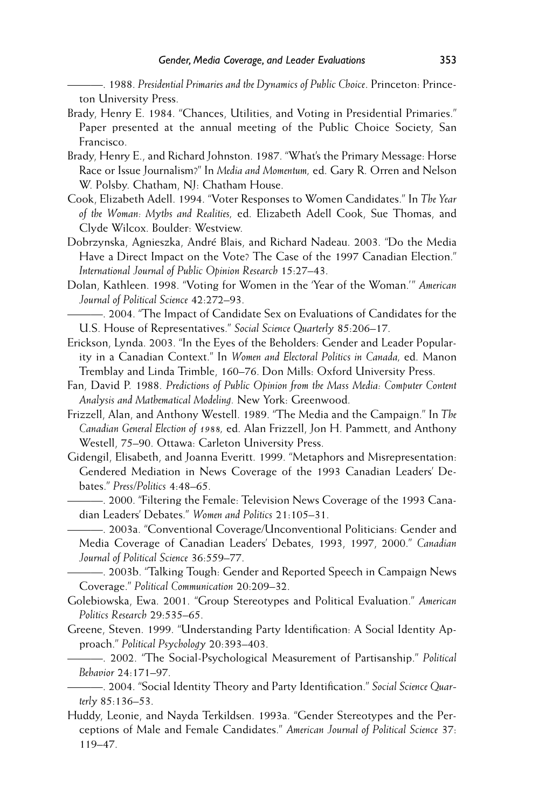- ———. 1988. *Presidential Primaries and the Dynamics of Public Choice*. Princeton: Princeton University Press.
- Brady, Henry E. 1984. "Chances, Utilities, and Voting in Presidential Primaries." Paper presented at the annual meeting of the Public Choice Society, San Francisco.
- Brady, Henry E., and Richard Johnston. 1987. "What's the Primary Message: Horse Race or Issue Journalism?" In *Media and Momentum,* ed. Gary R. Orren and Nelson W. Polsby. Chatham, NJ: Chatham House.
- Cook, Elizabeth Adell. 1994. "Voter Responses to Women Candidates." In *The Year of the Woman: Myths and Realities,* ed. Elizabeth Adell Cook, Sue Thomas, and Clyde Wilcox. Boulder: Westview.
- Dobrzynska, Agnieszka, André Blais, and Richard Nadeau. 2003. "Do the Media Have a Direct Impact on the Vote? The Case of the 1997 Canadian Election." *International Journal of Public Opinion Research* 15:27–43.
- Dolan, Kathleen. 1998. "Voting for Women in the 'Year of the Woman.'" *American Journal of Political Science* 42:272–93.

———. 2004. "The Impact of Candidate Sex on Evaluations of Candidates for the U.S. House of Representatives." *Social Science Quarterly* 85:206–17.

- Erickson, Lynda. 2003. "In the Eyes of the Beholders: Gender and Leader Popularity in a Canadian Context." In *Women and Electoral Politics in Canada,* ed. Manon Tremblay and Linda Trimble, 160–76. Don Mills: Oxford University Press.
- Fan, David P. 1988. *Predictions of Public Opinion from the Mass Media: Computer Content Analysis and Mathematical Modeling.* New York: Greenwood.
- Frizzell, Alan, and Anthony Westell. 1989. "The Media and the Campaign." In *The Canadian General Election of 1988,* ed. Alan Frizzell, Jon H. Pammett, and Anthony Westell, 75–90. Ottawa: Carleton University Press.
- Gidengil, Elisabeth, and Joanna Everitt. 1999. "Metaphors and Misrepresentation: Gendered Mediation in News Coverage of the 1993 Canadian Leaders' Debates." *Press/Politics* 4:48–65.

———. 2000. "Filtering the Female: Television News Coverage of the 1993 Canadian Leaders' Debates." *Women and Politics* 21:105–31.

———. 2003a. "Conventional Coverage/Unconventional Politicians: Gender and Media Coverage of Canadian Leaders' Debates, 1993, 1997, 2000." *Canadian Journal of Political Science* 36:559–77.

———. 2003b. "Talking Tough: Gender and Reported Speech in Campaign News Coverage." *Political Communication* 20:209–32.

- Golebiowska, Ewa. 2001. "Group Stereotypes and Political Evaluation." *American Politics Research* 29:535–65.
- Greene, Steven. 1999. "Understanding Party Identification: A Social Identity Approach." *Political Psychology* 20:393–403.
- ———. 2002. "The Social-Psychological Measurement of Partisanship." *Political Behavior* 24:171–97.
- $-$ . 2004. "Social Identity Theory and Party Identification." Social Science Quar*terly* 85:136–53.
- Huddy, Leonie, and Nayda Terkildsen. 1993a. "Gender Stereotypes and the Perceptions of Male and Female Candidates." *American Journal of Political Science* 37: 119–47.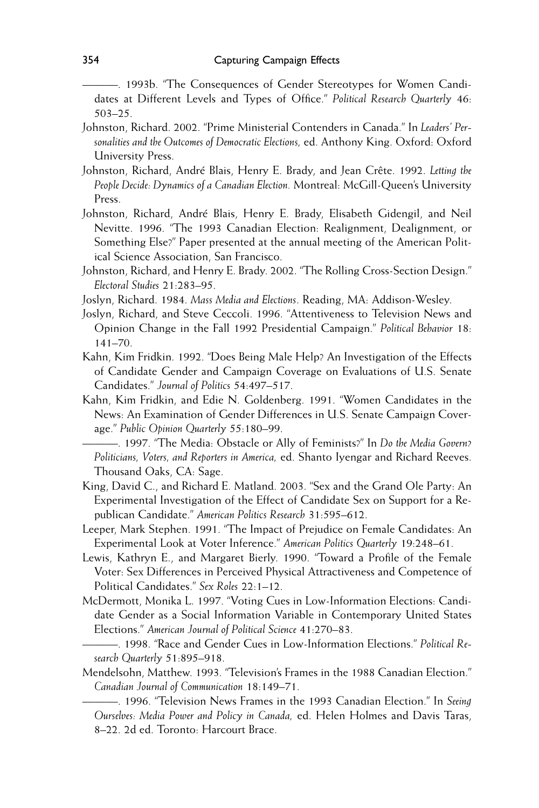———. 1993b. "The Consequences of Gender Stereotypes for Women Candidates at Different Levels and Types of Office." Political Research Quarterly 46: 503–25.

- Johnston, Richard. 2002. "Prime Ministerial Contenders in Canada." In *Leaders' Personalities and the Outcomes of Democratic Elections,* ed. Anthony King. Oxford: Oxford University Press.
- Johnston, Richard, André Blais, Henry E. Brady, and Jean Crête. 1992. *Letting the People Decide: Dynamics of a Canadian Election.* Montreal: McGill-Queen's University Press.
- Johnston, Richard, André Blais, Henry E. Brady, Elisabeth Gidengil, and Neil Nevitte. 1996. "The 1993 Canadian Election: Realignment, Dealignment, or Something Else?" Paper presented at the annual meeting of the American Political Science Association, San Francisco.
- Johnston, Richard, and Henry E. Brady. 2002. "The Rolling Cross-Section Design." *Electoral Studies* 21:283–95.
- Joslyn, Richard. 1984. *Mass Media and Elections*. Reading, MA: Addison-Wesley.
- Joslyn, Richard, and Steve Ceccoli. 1996. "Attentiveness to Television News and Opinion Change in the Fall 1992 Presidential Campaign." *Political Behavior* 18: 141–70.
- Kahn, Kim Fridkin. 1992. "Does Being Male Help? An Investigation of the Effects of Candidate Gender and Campaign Coverage on Evaluations of U.S. Senate Candidates." *Journal of Politics* 54:497–517.
- Kahn, Kim Fridkin, and Edie N. Goldenberg. 1991. "Women Candidates in the News: An Examination of Gender Differences in U.S. Senate Campaign Coverage." *Public Opinion Quarterly* 55:180–99.

———. 1997. "The Media: Obstacle or Ally of Feminists?" In *Do the Media Govern? Politicians, Voters, and Reporters in America,* ed. Shanto Iyengar and Richard Reeves. Thousand Oaks, CA: Sage.

- King, David C., and Richard E. Matland. 2003. "Sex and the Grand Ole Party: An Experimental Investigation of the Effect of Candidate Sex on Support for a Republican Candidate." *American Politics Research* 31:595–612.
- Leeper, Mark Stephen. 1991. "The Impact of Prejudice on Female Candidates: An Experimental Look at Voter Inference." *American Politics Quarterly* 19:248–61.
- Lewis, Kathryn E., and Margaret Bierly. 1990. "Toward a Profile of the Female Voter: Sex Differences in Perceived Physical Attractiveness and Competence of Political Candidates." *Sex Roles* 22:1–12.
- McDermott, Monika L. 1997. "Voting Cues in Low-Information Elections: Candidate Gender as a Social Information Variable in Contemporary United States Elections." *American Journal of Political Science* 41:270–83.
- ———. 1998. "Race and Gender Cues in Low-Information Elections." *Political Research Quarterly* 51:895–918.
- Mendelsohn, Matthew. 1993. "Television's Frames in the 1988 Canadian Election." *Canadian Journal of Communication* 18:149–71.

———. 1996. "Television News Frames in the 1993 Canadian Election." In *Seeing Ourselves: Media Power and Policy in Canada,* ed. Helen Holmes and Davis Taras, 8–22. 2d ed. Toronto: Harcourt Brace.